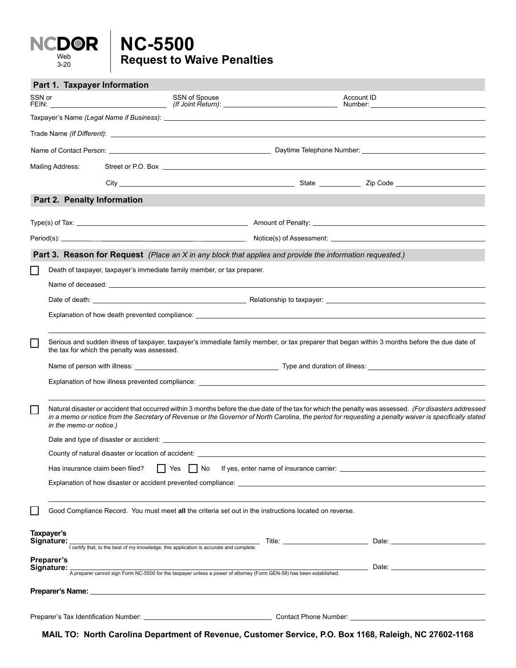## **Request to Waive Penalties NC-5500** Web 3-20

|                                        | Part 1. Taxpayer Information                                                                                                                                                                                                                                                                                                                |  |               |                                                                                                        |                                                                                                                                                                                                                                              |  |
|----------------------------------------|---------------------------------------------------------------------------------------------------------------------------------------------------------------------------------------------------------------------------------------------------------------------------------------------------------------------------------------------|--|---------------|--------------------------------------------------------------------------------------------------------|----------------------------------------------------------------------------------------------------------------------------------------------------------------------------------------------------------------------------------------------|--|
| SSN or                                 |                                                                                                                                                                                                                                                                                                                                             |  | SSN of Spouse |                                                                                                        | Account ID<br>Number: and the contract of the contract of the contract of the contract of the contract of the contract of the contract of the contract of the contract of the contract of the contract of the contract of the contract of th |  |
|                                        |                                                                                                                                                                                                                                                                                                                                             |  |               |                                                                                                        |                                                                                                                                                                                                                                              |  |
|                                        |                                                                                                                                                                                                                                                                                                                                             |  |               |                                                                                                        |                                                                                                                                                                                                                                              |  |
|                                        |                                                                                                                                                                                                                                                                                                                                             |  |               |                                                                                                        |                                                                                                                                                                                                                                              |  |
| Mailing Address:                       |                                                                                                                                                                                                                                                                                                                                             |  |               |                                                                                                        |                                                                                                                                                                                                                                              |  |
|                                        |                                                                                                                                                                                                                                                                                                                                             |  |               |                                                                                                        |                                                                                                                                                                                                                                              |  |
|                                        | Part 2. Penalty Information                                                                                                                                                                                                                                                                                                                 |  |               |                                                                                                        |                                                                                                                                                                                                                                              |  |
|                                        |                                                                                                                                                                                                                                                                                                                                             |  |               |                                                                                                        |                                                                                                                                                                                                                                              |  |
|                                        |                                                                                                                                                                                                                                                                                                                                             |  |               |                                                                                                        |                                                                                                                                                                                                                                              |  |
|                                        |                                                                                                                                                                                                                                                                                                                                             |  |               |                                                                                                        | Part 3. Reason for Request (Place an X in any block that applies and provide the information requested.)                                                                                                                                     |  |
| $\mathbb{R}^n$                         | Death of taxpayer, taxpayer's immediate family member, or tax preparer.                                                                                                                                                                                                                                                                     |  |               |                                                                                                        |                                                                                                                                                                                                                                              |  |
|                                        | Name of deceased: example and a series of the series of the series of the series of the series of the series of the series of the series of the series of the series of the series of the series of the series of the series o                                                                                                              |  |               |                                                                                                        |                                                                                                                                                                                                                                              |  |
|                                        |                                                                                                                                                                                                                                                                                                                                             |  |               |                                                                                                        |                                                                                                                                                                                                                                              |  |
|                                        |                                                                                                                                                                                                                                                                                                                                             |  |               |                                                                                                        |                                                                                                                                                                                                                                              |  |
| └                                      | Serious and sudden illness of taxpayer, taxpayer's immediate family member, or tax preparer that began within 3 months before the due date of<br>the tax for which the penalty was assessed.                                                                                                                                                |  |               |                                                                                                        |                                                                                                                                                                                                                                              |  |
|                                        |                                                                                                                                                                                                                                                                                                                                             |  |               |                                                                                                        |                                                                                                                                                                                                                                              |  |
|                                        | Explanation of how illness prevented compliance: example and a series of the series of the series of the series of the series of the series of the series of the series of the series of the series of the series of the serie                                                                                                              |  |               |                                                                                                        |                                                                                                                                                                                                                                              |  |
| $\mathcal{L}_{\mathcal{A}}$            | Natural disaster or accident that occurred within 3 months before the due date of the tax for which the penalty was assessed. (For disasters addressed<br>in a memo or notice from the Secretary of Revenue or the Governor of North Carolina, the period for requesting a penalty waiver is specifically stated<br>in the memo or notice.) |  |               |                                                                                                        |                                                                                                                                                                                                                                              |  |
|                                        |                                                                                                                                                                                                                                                                                                                                             |  |               |                                                                                                        |                                                                                                                                                                                                                                              |  |
|                                        |                                                                                                                                                                                                                                                                                                                                             |  |               |                                                                                                        |                                                                                                                                                                                                                                              |  |
|                                        | Has insurance claim been filed?<br>    No<br>Yes                                                                                                                                                                                                                                                                                            |  |               |                                                                                                        |                                                                                                                                                                                                                                              |  |
|                                        |                                                                                                                                                                                                                                                                                                                                             |  |               |                                                                                                        |                                                                                                                                                                                                                                              |  |
|                                        |                                                                                                                                                                                                                                                                                                                                             |  |               | Good Compliance Record. You must meet all the criteria set out in the instructions located on reverse. |                                                                                                                                                                                                                                              |  |
| Taxpayer's<br>Signature:<br>Preparer's |                                                                                                                                                                                                                                                                                                                                             |  |               |                                                                                                        | $\frac{1}{1}$ certify that, to the best of my knowledge, this application is accurate and complete.                                                                                                                                          |  |
|                                        |                                                                                                                                                                                                                                                                                                                                             |  |               |                                                                                                        | Signature:<br>A preparer cannot sign Form NC-5500 for the taxpayer unless a power of attorney (Form GEN-58) has been established.                                                                                                            |  |
|                                        |                                                                                                                                                                                                                                                                                                                                             |  |               |                                                                                                        |                                                                                                                                                                                                                                              |  |
|                                        |                                                                                                                                                                                                                                                                                                                                             |  |               |                                                                                                        |                                                                                                                                                                                                                                              |  |

**MAIL TO: North Carolina Department of Revenue, Customer Service, P.O. Box 1168, Raleigh, NC 27602-1168**